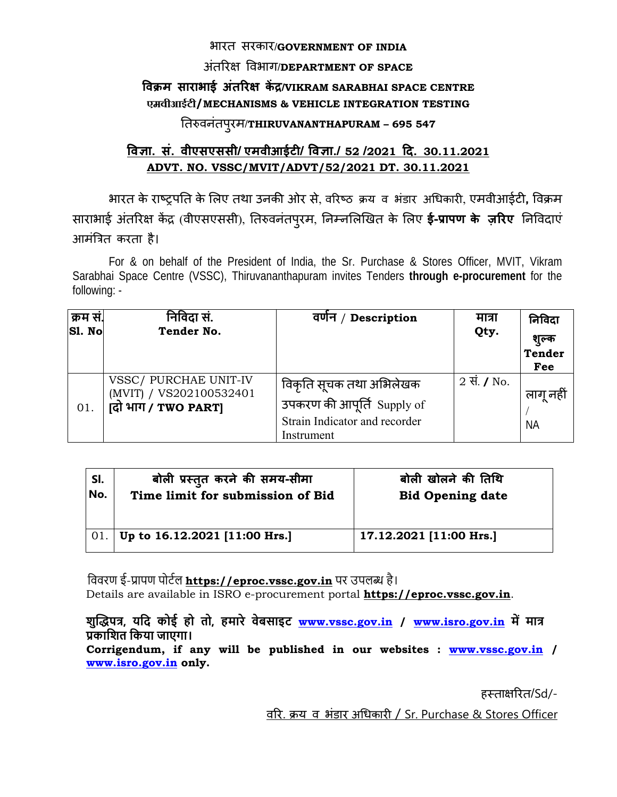#### भारत सरकार/**GOVERNMENT OF INDIA**

### अतिरक्ष िवभाग ं /**DEPARTMENT OF SPACE**

## **िवक्रम साराभाई अतिरक्ष ं कɅद्र/VIKRAM SARABHAI SPACE CENTRE एमवीआईटी/MECHANISMS & VEHICLE INTEGRATION TESTING**

# ितǽवनंतपरमु /**THIRUVANANTHAPURAM – 695 547**

## **िवज्ञा. सं. वीएसएससी/ एमवीआईटी/ िवज्ञा./ 52 /2021 िद. 30.11.2021 ADVT. NO. VSSC/MVIT/ADVT/52/2021 DT. 30.11.2021**

भारत के राçट्रपित के िलए तथा उनकी ओर से, विरçठ क्रय व भंडार अिधकारी, एमवीआईटी**,** िवक्रम साराभाई अंतरिक्ष केंद्र (वीएसएससी), तिरुवनंतपुरम, निम्नलिखित के लिए **ई-प्रापण के ज़रिए** निविदाएं आमंित्रत करता है।

For & on behalf of the President of India, the Sr. Purchase & Stores Officer, MVIT, Vikram Sarabhai Space Centre (VSSC), Thiruvananthapuram invites Tenders **through e-procurement** for the following: -

| क्रम सं.<br><b>S1. No</b> | निविदा सं.<br>Tender No.                                                | Description<br>वर्णन /                                                                               | मात्रा<br>Qty.       | निविदा<br>शुल्क<br><b>Tender</b><br>Fee |
|---------------------------|-------------------------------------------------------------------------|------------------------------------------------------------------------------------------------------|----------------------|-----------------------------------------|
| 01.                       | VSSC/ PURCHAE UNIT-IV<br>(MVIT) / VS202100532401<br>(दो भाग / TWO PART) | विकृति सूचक तथा अभिलेखक<br>उपकरण की आपूर्ति Supply of<br>Strain Indicator and recorder<br>Instrument | 2 सें. $\sqrt{}$ No. | लागू नही<br><b>NA</b>                   |

| SI. | बोली प्रस्तुत करने की समय-सीमा      | बोली खोलने की तिथि      |
|-----|-------------------------------------|-------------------------|
| No. | Time limit for submission of Bid    | <b>Bid Opening date</b> |
|     |                                     |                         |
|     |                                     |                         |
|     | 01.   Up to 16.12.2021 [11:00 Hrs.] | 17.12.2021 [11:00 Hrs.] |
|     |                                     |                         |

विवरण ई-प्रापण पोर्टल **https://eproc.vssc.gov.in** पर उपलब्ध है। Details are available in ISRO e-procurement portal **https://eproc.vssc.gov.in**.

**शुİȠपũ, यिद कोई हो तो, हमारे वेबसाइट www.vssc.gov.in / www.isro.gov.in मŐ माũ Ůकािशत िकया जाएगा।**

**Corrigendum, if any will be published in our websites : www.vssc.gov.in / www.isro.gov.in only.** 

हèताक्षिरत/Sd/-

विर. क्रय व भंडार अिधकारी / Sr. Purchase & Stores Officer